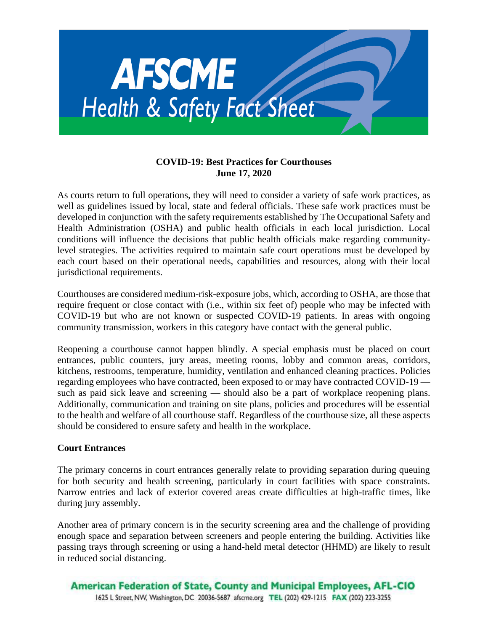

### **COVID-19: Best Practices for Courthouses June 17, 2020**

As courts return to full operations, they will need to consider a variety of safe work practices, as well as guidelines issued by local, state and federal officials. These safe work practices must be developed in conjunction with the safety requirements established by The Occupational Safety and Health Administration (OSHA) and public health officials in each local jurisdiction. Local conditions will influence the decisions that public health officials make regarding communitylevel strategies. The activities required to maintain safe court operations must be developed by each court based on their operational needs, capabilities and resources, along with their local jurisdictional requirements.

Courthouses are considered medium-risk-exposure jobs, which, according to OSHA, are those that require frequent or close contact with (i.e., within six feet of) people who may be infected with COVID-19 but who are not known or suspected COVID-19 patients. In areas with ongoing community transmission, workers in this category have contact with the general public.

Reopening a courthouse cannot happen blindly. A special emphasis must be placed on court entrances, public counters, jury areas, meeting rooms, lobby and common areas, corridors, kitchens, restrooms, temperature, humidity, ventilation and enhanced cleaning practices. Policies regarding employees who have contracted, been exposed to or may have contracted COVID-19 such as paid sick leave and screening — should also be a part of workplace reopening plans. Additionally, communication and training on site plans, policies and procedures will be essential to the health and welfare of all courthouse staff. Regardless of the courthouse size, all these aspects should be considered to ensure safety and health in the workplace.

#### **Court Entrances**

The primary concerns in court entrances generally relate to providing separation during queuing for both security and health screening, particularly in court facilities with space constraints. Narrow entries and lack of exterior covered areas create difficulties at high-traffic times, like during jury assembly.

Another area of primary concern is in the security screening area and the challenge of providing enough space and separation between screeners and people entering the building. Activities like passing trays through screening or using a hand-held metal detector (HHMD) are likely to result in reduced social distancing.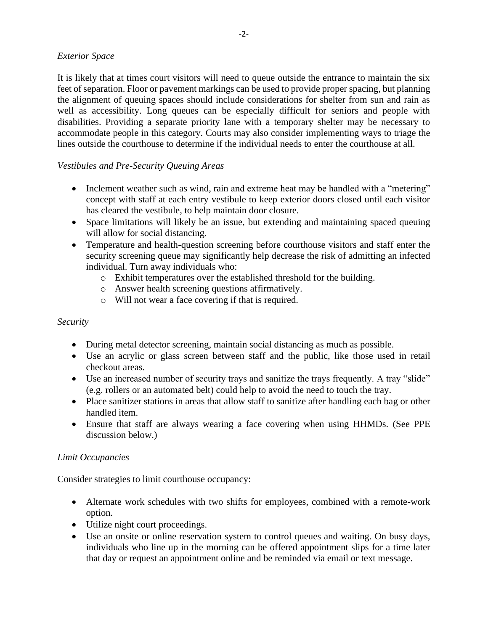#### *Exterior Space*

It is likely that at times court visitors will need to queue outside the entrance to maintain the six feet of separation. Floor or pavement markings can be used to provide proper spacing, but planning the alignment of queuing spaces should include considerations for shelter from sun and rain as well as accessibility. Long queues can be especially difficult for seniors and people with disabilities. Providing a separate priority lane with a temporary shelter may be necessary to accommodate people in this category. Courts may also consider implementing ways to triage the lines outside the courthouse to determine if the individual needs to enter the courthouse at all.

# *Vestibules and Pre-Security Queuing Areas*

- Inclement weather such as wind, rain and extreme heat may be handled with a "metering" concept with staff at each entry vestibule to keep exterior doors closed until each visitor has cleared the vestibule, to help maintain door closure.
- Space limitations will likely be an issue, but extending and maintaining spaced queuing will allow for social distancing.
- Temperature and health-question screening before courthouse visitors and staff enter the security screening queue may significantly help decrease the risk of admitting an infected individual. Turn away individuals who:
	- o Exhibit temperatures over the established threshold for the building.
	- o Answer health screening questions affirmatively.
	- o Will not wear a face covering if that is required.

### *Security*

- During metal detector screening, maintain social distancing as much as possible.
- Use an acrylic or glass screen between staff and the public, like those used in retail checkout areas.
- Use an increased number of security trays and sanitize the trays frequently. A tray "slide" (e.g. rollers or an automated belt) could help to avoid the need to touch the tray.
- Place sanitizer stations in areas that allow staff to sanitize after handling each bag or other handled item.
- Ensure that staff are always wearing a face covering when using HHMDs. (See PPE discussion below.)

### *Limit Occupancies*

Consider strategies to limit courthouse occupancy:

- Alternate work schedules with two shifts for employees, combined with a remote-work option.
- Utilize night court proceedings.
- Use an onsite or online reservation system to control queues and waiting. On busy days, individuals who line up in the morning can be offered appointment slips for a time later that day or request an appointment online and be reminded via email or text message.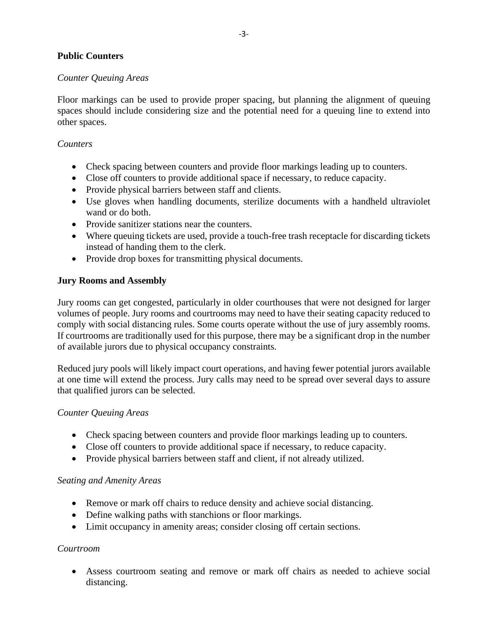## **Public Counters**

### *Counter Queuing Areas*

Floor markings can be used to provide proper spacing, but planning the alignment of queuing spaces should include considering size and the potential need for a queuing line to extend into other spaces.

## *Counters*

- Check spacing between counters and provide floor markings leading up to counters.
- Close off counters to provide additional space if necessary, to reduce capacity.
- Provide physical barriers between staff and clients.
- Use gloves when handling documents, sterilize documents with a handheld ultraviolet wand or do both.
- Provide sanitizer stations near the counters.
- Where queuing tickets are used, provide a touch-free trash receptacle for discarding tickets instead of handing them to the clerk.
- Provide drop boxes for transmitting physical documents.

### **Jury Rooms and Assembly**

Jury rooms can get congested, particularly in older courthouses that were not designed for larger volumes of people. Jury rooms and courtrooms may need to have their seating capacity reduced to comply with social distancing rules. Some courts operate without the use of jury assembly rooms. If courtrooms are traditionally used for this purpose, there may be a significant drop in the number of available jurors due to physical occupancy constraints.

Reduced jury pools will likely impact court operations, and having fewer potential jurors available at one time will extend the process. Jury calls may need to be spread over several days to assure that qualified jurors can be selected.

### *Counter Queuing Areas*

- Check spacing between counters and provide floor markings leading up to counters.
- Close off counters to provide additional space if necessary, to reduce capacity.
- Provide physical barriers between staff and client, if not already utilized.

### *Seating and Amenity Areas*

- Remove or mark off chairs to reduce density and achieve social distancing.
- Define walking paths with stanchions or floor markings.
- Limit occupancy in amenity areas; consider closing off certain sections.

### *Courtroom*

• Assess courtroom seating and remove or mark off chairs as needed to achieve social distancing.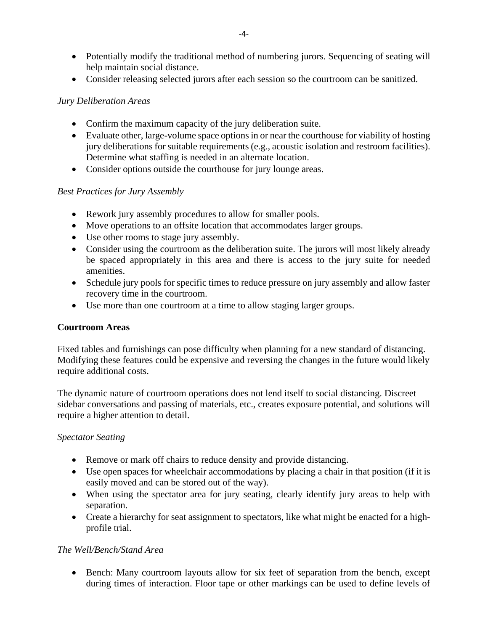- Potentially modify the traditional method of numbering jurors. Sequencing of seating will help maintain social distance.
- Consider releasing selected jurors after each session so the courtroom can be sanitized.

# *Jury Deliberation Areas*

- Confirm the maximum capacity of the jury deliberation suite.
- Evaluate other, large-volume space options in or near the courthouse for viability of hosting jury deliberations for suitable requirements (e.g., acoustic isolation and restroom facilities). Determine what staffing is needed in an alternate location.
- Consider options outside the courthouse for jury lounge areas.

# *Best Practices for Jury Assembly*

- Rework jury assembly procedures to allow for smaller pools.
- Move operations to an offsite location that accommodates larger groups.
- Use other rooms to stage jury assembly.
- Consider using the courtroom as the deliberation suite. The jurors will most likely already be spaced appropriately in this area and there is access to the jury suite for needed amenities.
- Schedule jury pools for specific times to reduce pressure on jury assembly and allow faster recovery time in the courtroom.
- Use more than one courtroom at a time to allow staging larger groups.

### **Courtroom Areas**

Fixed tables and furnishings can pose difficulty when planning for a new standard of distancing. Modifying these features could be expensive and reversing the changes in the future would likely require additional costs.

The dynamic nature of courtroom operations does not lend itself to social distancing. Discreet sidebar conversations and passing of materials, etc., creates exposure potential, and solutions will require a higher attention to detail.

### *Spectator Seating*

- Remove or mark off chairs to reduce density and provide distancing.
- Use open spaces for wheelchair accommodations by placing a chair in that position (if it is easily moved and can be stored out of the way).
- When using the spectator area for jury seating, clearly identify jury areas to help with separation.
- Create a hierarchy for seat assignment to spectators, like what might be enacted for a highprofile trial.

### *The Well/Bench/Stand Area*

• Bench: Many courtroom layouts allow for six feet of separation from the bench, except during times of interaction. Floor tape or other markings can be used to define levels of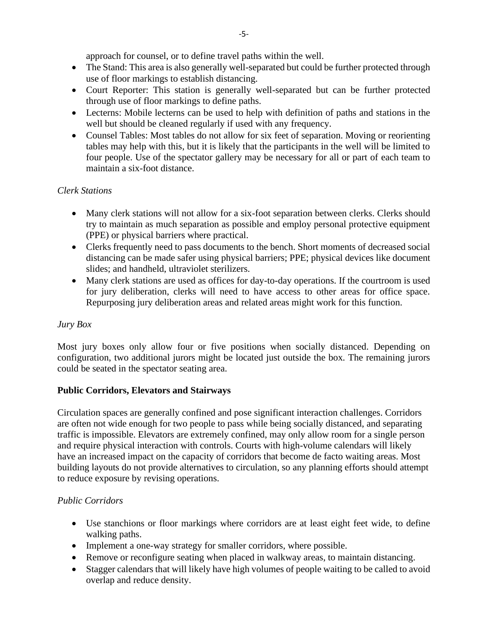approach for counsel, or to define travel paths within the well.

- The Stand: This area is also generally well-separated but could be further protected through use of floor markings to establish distancing.
- Court Reporter: This station is generally well-separated but can be further protected through use of floor markings to define paths.
- Lecterns: Mobile lecterns can be used to help with definition of paths and stations in the well but should be cleaned regularly if used with any frequency.
- Counsel Tables: Most tables do not allow for six feet of separation. Moving or reorienting tables may help with this, but it is likely that the participants in the well will be limited to four people. Use of the spectator gallery may be necessary for all or part of each team to maintain a six-foot distance.

# *Clerk Stations*

- Many clerk stations will not allow for a six-foot separation between clerks. Clerks should try to maintain as much separation as possible and employ personal protective equipment (PPE) or physical barriers where practical.
- Clerks frequently need to pass documents to the bench. Short moments of decreased social distancing can be made safer using physical barriers; PPE; physical devices like document slides; and handheld, ultraviolet sterilizers.
- Many clerk stations are used as offices for day-to-day operations. If the courtroom is used for jury deliberation, clerks will need to have access to other areas for office space. Repurposing jury deliberation areas and related areas might work for this function.

### *Jury Box*

Most jury boxes only allow four or five positions when socially distanced. Depending on configuration, two additional jurors might be located just outside the box. The remaining jurors could be seated in the spectator seating area.

### **Public Corridors, Elevators and Stairways**

Circulation spaces are generally confined and pose significant interaction challenges. Corridors are often not wide enough for two people to pass while being socially distanced, and separating traffic is impossible. Elevators are extremely confined, may only allow room for a single person and require physical interaction with controls. Courts with high-volume calendars will likely have an increased impact on the capacity of corridors that become de facto waiting areas. Most building layouts do not provide alternatives to circulation, so any planning efforts should attempt to reduce exposure by revising operations.

# *Public Corridors*

- Use stanchions or floor markings where corridors are at least eight feet wide, to define walking paths.
- Implement a one-way strategy for smaller corridors, where possible.
- Remove or reconfigure seating when placed in walkway areas, to maintain distancing.
- Stagger calendars that will likely have high volumes of people waiting to be called to avoid overlap and reduce density.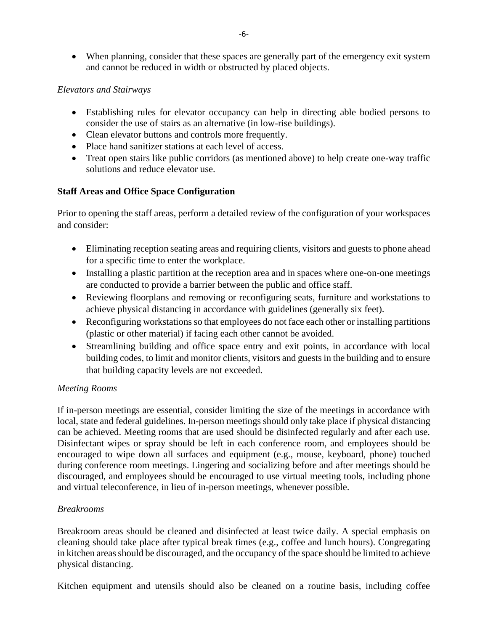• When planning, consider that these spaces are generally part of the emergency exit system and cannot be reduced in width or obstructed by placed objects.

#### *Elevators and Stairways*

- Establishing rules for elevator occupancy can help in directing able bodied persons to consider the use of stairs as an alternative (in low-rise buildings).
- Clean elevator buttons and controls more frequently.
- Place hand sanitizer stations at each level of access.
- Treat open stairs like public corridors (as mentioned above) to help create one-way traffic solutions and reduce elevator use.

### **Staff Areas and Office Space Configuration**

Prior to opening the staff areas, perform a detailed review of the configuration of your workspaces and consider:

- Eliminating reception seating areas and requiring clients, visitors and guests to phone ahead for a specific time to enter the workplace.
- Installing a plastic partition at the reception area and in spaces where one-on-one meetings are conducted to provide a barrier between the public and office staff.
- Reviewing floorplans and removing or reconfiguring seats, furniture and workstations to achieve physical distancing in accordance with guidelines (generally six feet).
- Reconfiguring workstations so that employees do not face each other or installing partitions (plastic or other material) if facing each other cannot be avoided.
- Streamlining building and office space entry and exit points, in accordance with local building codes, to limit and monitor clients, visitors and guests in the building and to ensure that building capacity levels are not exceeded.

### *Meeting Rooms*

If in-person meetings are essential, consider limiting the size of the meetings in accordance with local, state and federal guidelines. In-person meetings should only take place if physical distancing can be achieved. Meeting rooms that are used should be disinfected regularly and after each use. Disinfectant wipes or spray should be left in each conference room, and employees should be encouraged to wipe down all surfaces and equipment (e.g., mouse, keyboard, phone) touched during conference room meetings. Lingering and socializing before and after meetings should be discouraged, and employees should be encouraged to use virtual meeting tools, including phone and virtual teleconference, in lieu of in-person meetings, whenever possible.

### *Breakrooms*

Breakroom areas should be cleaned and disinfected at least twice daily. A special emphasis on cleaning should take place after typical break times (e.g., coffee and lunch hours). Congregating in kitchen areas should be discouraged, and the occupancy of the space should be limited to achieve physical distancing.

Kitchen equipment and utensils should also be cleaned on a routine basis, including coffee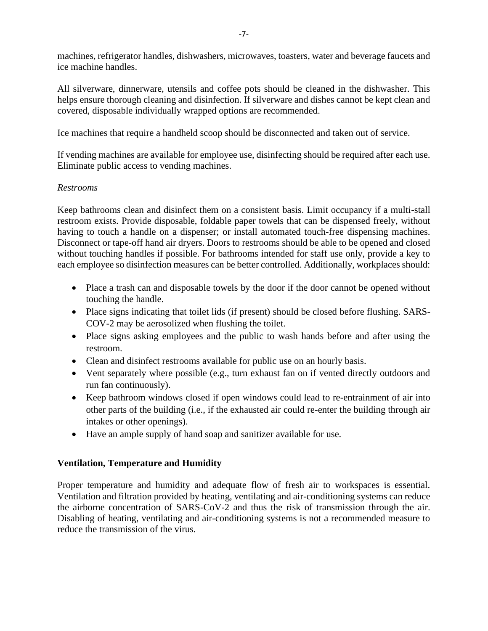machines, refrigerator handles, dishwashers, microwaves, toasters, water and beverage faucets and ice machine handles.

All silverware, dinnerware, utensils and coffee pots should be cleaned in the dishwasher. This helps ensure thorough cleaning and disinfection. If silverware and dishes cannot be kept clean and covered, disposable individually wrapped options are recommended.

Ice machines that require a handheld scoop should be disconnected and taken out of service.

If vending machines are available for employee use, disinfecting should be required after each use. Eliminate public access to vending machines.

# *Restrooms*

Keep bathrooms clean and disinfect them on a consistent basis. Limit occupancy if a multi-stall restroom exists. Provide disposable, foldable paper towels that can be dispensed freely, without having to touch a handle on a dispenser; or install automated touch-free dispensing machines. Disconnect or tape-off hand air dryers. Doors to restrooms should be able to be opened and closed without touching handles if possible. For bathrooms intended for staff use only, provide a key to each employee so disinfection measures can be better controlled. Additionally, workplaces should:

- Place a trash can and disposable towels by the door if the door cannot be opened without touching the handle.
- Place signs indicating that toilet lids (if present) should be closed before flushing. SARS-COV-2 may be aerosolized when flushing the toilet.
- Place signs asking employees and the public to wash hands before and after using the restroom.
- Clean and disinfect restrooms available for public use on an hourly basis.
- Vent separately where possible (e.g., turn exhaust fan on if vented directly outdoors and run fan continuously).
- Keep bathroom windows closed if open windows could lead to re-entrainment of air into other parts of the building (i.e., if the exhausted air could re-enter the building through air intakes or other openings).
- Have an ample supply of hand soap and sanitizer available for use.

# **Ventilation, Temperature and Humidity**

Proper temperature and humidity and adequate flow of fresh air to workspaces is essential. Ventilation and filtration provided by heating, ventilating and air-conditioning systems can reduce the airborne concentration of SARS-CoV-2 and thus the risk of transmission through the air. Disabling of heating, ventilating and air-conditioning systems is not a recommended measure to reduce the transmission of the virus.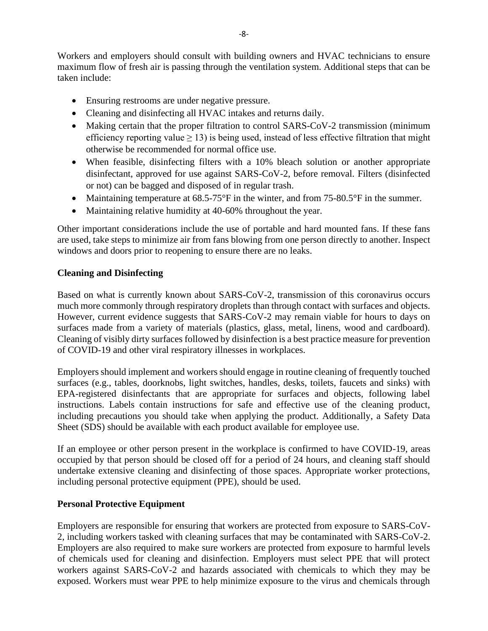Workers and employers should consult with building owners and HVAC technicians to ensure maximum flow of fresh air is passing through the ventilation system. Additional steps that can be taken include:

- Ensuring restrooms are under negative pressure.
- Cleaning and disinfecting all HVAC intakes and returns daily.
- Making certain that the proper filtration to control SARS-CoV-2 transmission (minimum efficiency reporting value  $> 13$ ) is being used, instead of less effective filtration that might otherwise be recommended for normal office use.
- When feasible, disinfecting filters with a 10% bleach solution or another appropriate disinfectant, approved for use against SARS-CoV-2, before removal. Filters (disinfected or not) can be bagged and disposed of in regular trash.
- Maintaining temperature at  $68.5$ -75°F in the winter, and from 75-80.5°F in the summer.
- Maintaining relative humidity at 40-60% throughout the year.

Other important considerations include the use of portable and hard mounted fans. If these fans are used, take steps to minimize air from fans blowing from one person directly to another. Inspect windows and doors prior to reopening to ensure there are no leaks.

#### **Cleaning and Disinfecting**

Based on what is currently known about SARS-CoV-2, transmission of this coronavirus occurs much more commonly through respiratory droplets than through contact with surfaces and objects. However, current evidence suggests that SARS-CoV-2 may remain viable for hours to days on surfaces made from a variety of materials (plastics, glass, metal, linens, wood and cardboard). Cleaning of visibly dirty surfaces followed by disinfection is a best practice measure for prevention of COVID-19 and other viral respiratory illnesses in workplaces.

Employers should implement and workers should engage in routine cleaning of frequently touched surfaces (e.g., tables, doorknobs, light switches, handles, desks, toilets, faucets and sinks) with EPA-registered disinfectants that are appropriate for surfaces and objects, following label instructions. Labels contain instructions for safe and effective use of the cleaning product, including precautions you should take when applying the product. Additionally, a Safety Data Sheet (SDS) should be available with each product available for employee use.

If an employee or other person present in the workplace is confirmed to have COVID-19, areas occupied by that person should be closed off for a period of 24 hours, and cleaning staff should undertake extensive cleaning and disinfecting of those spaces. Appropriate worker protections, including personal protective equipment (PPE), should be used.

### **Personal Protective Equipment**

Employers are responsible for ensuring that workers are protected from exposure to SARS-CoV-2, including workers tasked with cleaning surfaces that may be contaminated with SARS-CoV-2. Employers are also required to make sure workers are protected from exposure to harmful levels of chemicals used for cleaning and disinfection. Employers must select PPE that will protect workers against SARS-CoV-2 and hazards associated with chemicals to which they may be exposed. Workers must wear PPE to help minimize exposure to the virus and chemicals through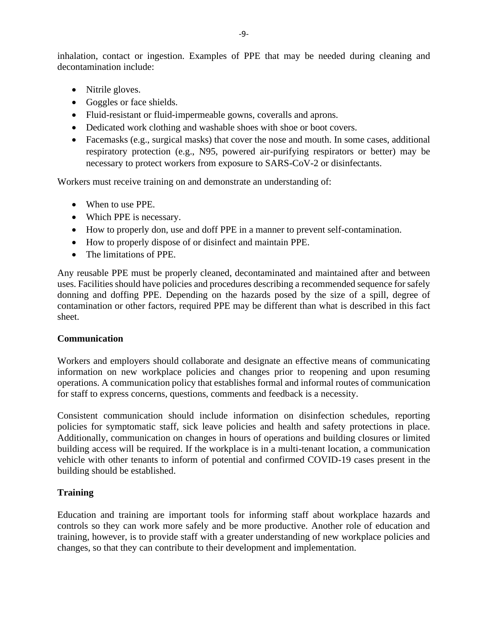inhalation, contact or ingestion. Examples of PPE that may be needed during cleaning and decontamination include:

- Nitrile gloves.
- Goggles or face shields.
- Fluid-resistant or fluid-impermeable gowns, coveralls and aprons.
- Dedicated work clothing and washable shoes with shoe or boot covers.
- Facemasks (e.g., surgical masks) that cover the nose and mouth. In some cases, additional respiratory protection (e.g., N95, powered air-purifying respirators or better) may be necessary to protect workers from exposure to SARS-CoV-2 or disinfectants.

Workers must receive training on and demonstrate an understanding of:

- When to use PPE.
- Which PPE is necessary.
- How to properly don, use and doff PPE in a manner to prevent self-contamination.
- How to properly dispose of or disinfect and maintain PPE.
- The limitations of PPE.

Any reusable PPE must be properly cleaned, decontaminated and maintained after and between uses. Facilities should have policies and procedures describing a recommended sequence for safely donning and doffing PPE. Depending on the hazards posed by the size of a spill, degree of contamination or other factors, required PPE may be different than what is described in this fact sheet.

#### **Communication**

Workers and employers should collaborate and designate an effective means of communicating information on new workplace policies and changes prior to reopening and upon resuming operations. A communication policy that establishes formal and informal routes of communication for staff to express concerns, questions, comments and feedback is a necessity.

Consistent communication should include information on disinfection schedules, reporting policies for symptomatic staff, sick leave policies and health and safety protections in place. Additionally, communication on changes in hours of operations and building closures or limited building access will be required. If the workplace is in a multi-tenant location, a communication vehicle with other tenants to inform of potential and confirmed COVID-19 cases present in the building should be established.

### **Training**

Education and training are important tools for informing staff about workplace hazards and controls so they can work more safely and be more productive. Another role of education and training, however, is to provide staff with a greater understanding of new workplace policies and changes, so that they can contribute to their development and implementation.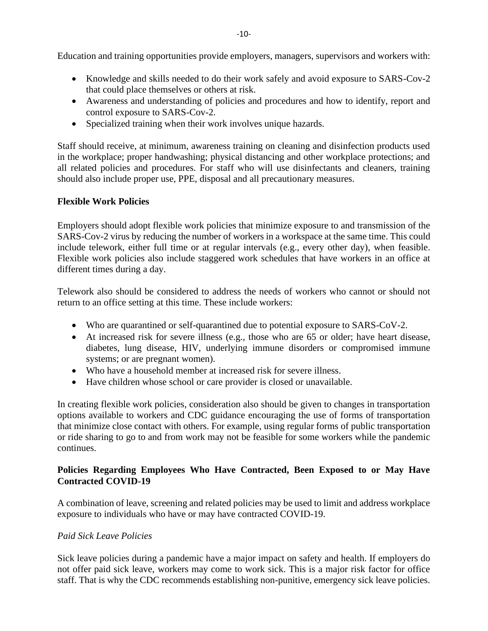Education and training opportunities provide employers, managers, supervisors and workers with:

- Knowledge and skills needed to do their work safely and avoid exposure to SARS-Cov-2 that could place themselves or others at risk.
- Awareness and understanding of policies and procedures and how to identify, report and control exposure to SARS-Cov-2.
- Specialized training when their work involves unique hazards.

Staff should receive, at minimum, awareness training on cleaning and disinfection products used in the workplace; proper handwashing; physical distancing and other workplace protections; and all related policies and procedures. For staff who will use disinfectants and cleaners, training should also include proper use, PPE, disposal and all precautionary measures.

#### **Flexible Work Policies**

Employers should adopt flexible work policies that minimize exposure to and transmission of the SARS-Cov-2 virus by reducing the number of workers in a workspace at the same time. This could include telework, either full time or at regular intervals (e.g., every other day), when feasible. Flexible work policies also include staggered work schedules that have workers in an office at different times during a day.

Telework also should be considered to address the needs of workers who cannot or should not return to an office setting at this time. These include workers:

- Who are quarantined or self-quarantined due to potential exposure to SARS-CoV-2.
- At increased risk for severe illness (e.g., those who are 65 or older; have heart disease, diabetes, lung disease, HIV, underlying immune disorders or compromised immune systems; or are pregnant women).
- Who have a household member at increased risk for severe illness.
- Have children whose school or care provider is closed or unavailable.

In creating flexible work policies, consideration also should be given to changes in transportation options available to workers and CDC guidance encouraging the use of forms of transportation that minimize close contact with others. For example, using regular forms of public transportation or ride sharing to go to and from work may not be feasible for some workers while the pandemic continues.

#### **Policies Regarding Employees Who Have Contracted, Been Exposed to or May Have Contracted COVID-19**

A combination of leave, screening and related policies may be used to limit and address workplace exposure to individuals who have or may have contracted COVID-19.

#### *Paid Sick Leave Policies*

Sick leave policies during a pandemic have a major impact on safety and health. If employers do not offer paid sick leave, workers may come to work sick. This is a major risk factor for office staff. That is why the CDC recommends establishing non-punitive, emergency sick leave policies.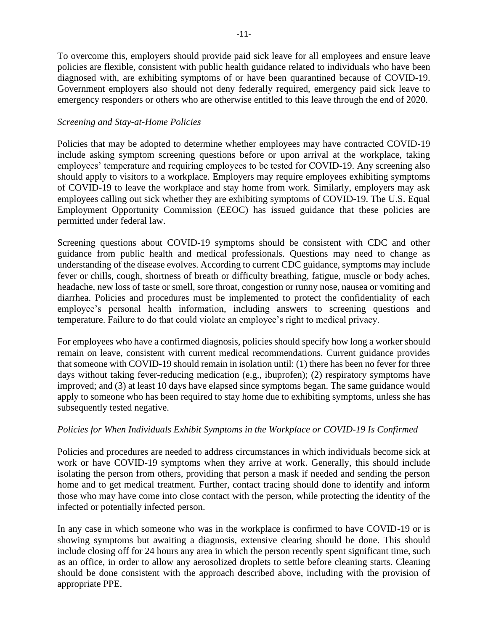To overcome this, employers should provide paid sick leave for all employees and ensure leave policies are flexible, consistent with public health guidance related to individuals who have been diagnosed with, are exhibiting symptoms of or have been quarantined because of COVID-19. Government employers also should not deny federally required, emergency paid sick leave to emergency responders or others who are otherwise entitled to this leave through the end of 2020.

#### *Screening and Stay-at-Home Policies*

Policies that may be adopted to determine whether employees may have contracted COVID-19 include asking symptom screening questions before or upon arrival at the workplace, taking employees' temperature and requiring employees to be tested for COVID-19. Any screening also should apply to visitors to a workplace. Employers may require employees exhibiting symptoms of COVID-19 to leave the workplace and stay home from work. Similarly, employers may ask employees calling out sick whether they are exhibiting symptoms of COVID-19. The U.S. Equal Employment Opportunity Commission (EEOC) has issued guidance that these policies are permitted under federal law.

Screening questions about COVID-19 symptoms should be consistent with CDC and other guidance from public health and medical professionals. Questions may need to change as understanding of the disease evolves. According to current CDC guidance, symptoms may include fever or chills, cough, shortness of breath or difficulty breathing, fatigue, muscle or body aches, headache, new loss of taste or smell, sore throat, congestion or runny nose, nausea or vomiting and diarrhea. Policies and procedures must be implemented to protect the confidentiality of each employee's personal health information, including answers to screening questions and temperature. Failure to do that could violate an employee's right to medical privacy.

For employees who have a confirmed diagnosis, policies should specify how long a worker should remain on leave, consistent with current medical recommendations. Current guidance provides that someone with COVID-19 should remain in isolation until: (1) there has been no fever for three days without taking fever-reducing medication (e.g., ibuprofen); (2) respiratory symptoms have improved; and (3) at least 10 days have elapsed since symptoms began. The same guidance would apply to someone who has been required to stay home due to exhibiting symptoms, unless she has subsequently tested negative.

#### *Policies for When Individuals Exhibit Symptoms in the Workplace or COVID-19 Is Confirmed*

Policies and procedures are needed to address circumstances in which individuals become sick at work or have COVID-19 symptoms when they arrive at work. Generally, this should include isolating the person from others, providing that person a mask if needed and sending the person home and to get medical treatment. Further, contact tracing should done to identify and inform those who may have come into close contact with the person, while protecting the identity of the infected or potentially infected person.

In any case in which someone who was in the workplace is confirmed to have COVID-19 or is showing symptoms but awaiting a diagnosis, extensive clearing should be done. This should include closing off for 24 hours any area in which the person recently spent significant time, such as an office, in order to allow any aerosolized droplets to settle before cleaning starts. Cleaning should be done consistent with the approach described above, including with the provision of appropriate PPE.